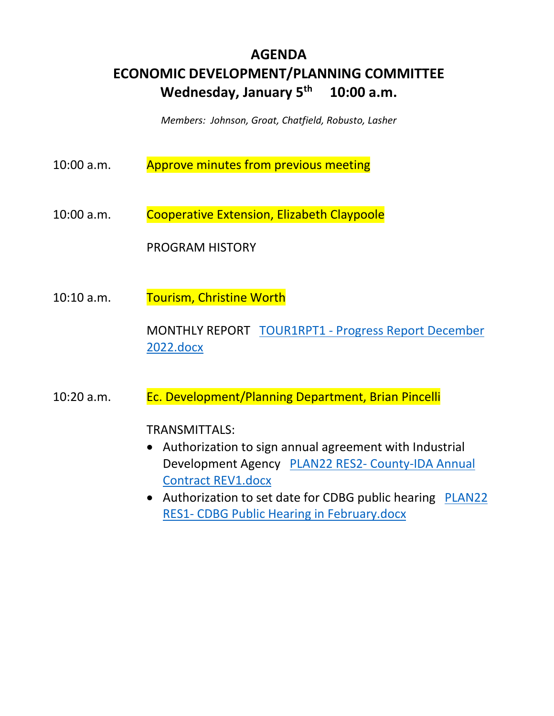# **AGENDA ECONOMIC DEVELOPMENT/PLANNING COMMITTEE Wednesday, January 5th 10:00 a.m.**

*Members: Johnson, Groat, Chatfield, Robusto, Lasher* 

- 10:00 a.m. Approve minutes from previous meeting
- 10:00 a.m. Cooperative Extension, Elizabeth Claypoole

PROGRAM HISTORY

10:10 a.m. Tourism, Christine Worth

MONTHLY REPORT TOUR1RPT1 - Progress Report December 2022.docx

10:20 a.m. Ec. Development/Planning Department, Brian Pincelli

TRANSMITTALS:

- Authorization to sign annual agreement with Industrial Development Agency PLAN22 RES2- County-IDA Annual Contract REV1.docx
- Authorization to set date for CDBG public hearing PLAN22 RES1- CDBG Public Hearing in February.docx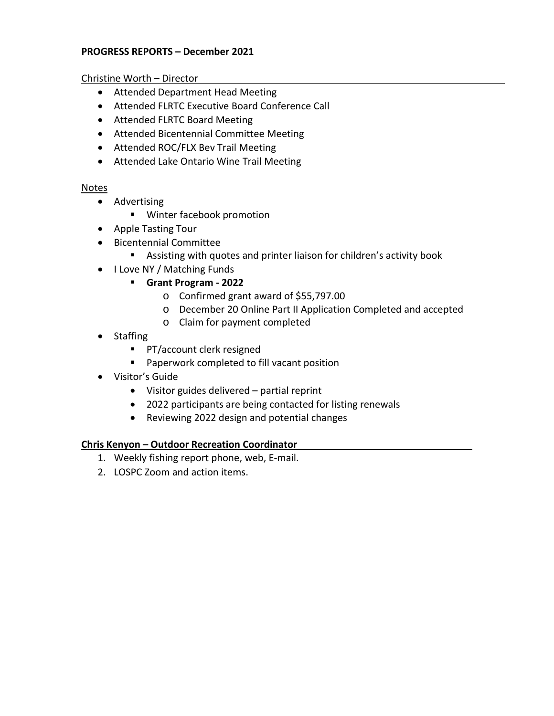## **PROGRESS REPORTS – December 2021**

Christine Worth – Director

- Attended Department Head Meeting
- Attended FLRTC Executive Board Conference Call
- Attended FLRTC Board Meeting
- Attended Bicentennial Committee Meeting
- Attended ROC/FLX Bev Trail Meeting
- Attended Lake Ontario Wine Trail Meeting

## Notes

- Advertising
	- Winter facebook promotion
- Apple Tasting Tour
- Bicentennial Committee
	- Assisting with quotes and printer liaison for children's activity book
- I Love NY / Matching Funds
	- **Grant Program 2022** 
		- o Confirmed grant award of \$55,797.00
		- o December 20 Online Part II Application Completed and accepted
		- o Claim for payment completed
- Staffing
	- **PT/account clerk resigned**
	- **Paperwork completed to fill vacant position**
- Visitor's Guide
	- Visitor guides delivered partial reprint
	- 2022 participants are being contacted for listing renewals
	- Reviewing 2022 design and potential changes

## **Chris Kenyon – Outdoor Recreation Coordinator**

- 1. Weekly fishing report phone, web, E-mail.
- 2. LOSPC Zoom and action items.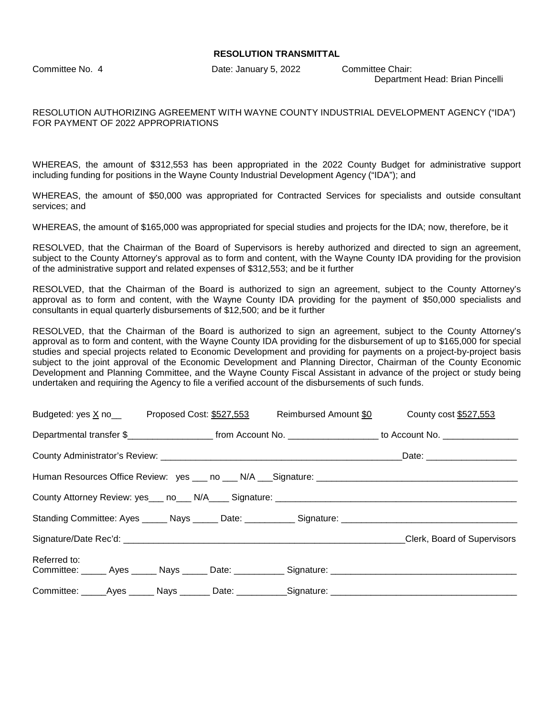#### **RESOLUTION TRANSMITTAL**

Committee No. 4 Date: January 5, 2022 Committee Chair:

Department Head: Brian Pincelli

### RESOLUTION AUTHORIZING AGREEMENT WITH WAYNE COUNTY INDUSTRIAL DEVELOPMENT AGENCY ("IDA") FOR PAYMENT OF 2022 APPROPRIATIONS

WHEREAS, the amount of \$312,553 has been appropriated in the 2022 County Budget for administrative support including funding for positions in the Wayne County Industrial Development Agency ("IDA"); and

WHEREAS, the amount of \$50,000 was appropriated for Contracted Services for specialists and outside consultant services; and

WHEREAS, the amount of \$165,000 was appropriated for special studies and projects for the IDA; now, therefore, be it

RESOLVED, that the Chairman of the Board of Supervisors is hereby authorized and directed to sign an agreement, subject to the County Attorney's approval as to form and content, with the Wayne County IDA providing for the provision of the administrative support and related expenses of \$312,553; and be it further

RESOLVED, that the Chairman of the Board is authorized to sign an agreement, subject to the County Attorney's approval as to form and content, with the Wayne County IDA providing for the payment of \$50,000 specialists and consultants in equal quarterly disbursements of \$12,500; and be it further

RESOLVED, that the Chairman of the Board is authorized to sign an agreement, subject to the County Attorney's approval as to form and content, with the Wayne County IDA providing for the disbursement of up to \$165,000 for special studies and special projects related to Economic Development and providing for payments on a project-by-project basis subject to the joint approval of the Economic Development and Planning Director, Chairman of the County Economic Development and Planning Committee, and the Wayne County Fiscal Assistant in advance of the project or study being undertaken and requiring the Agency to file a verified account of the disbursements of such funds.

| Budgeted: yes X no__________Proposed Cost: \$527,553 |  |  |  | Reimbursed Amount \$0 County cost \$527,553                                                                           |
|------------------------------------------------------|--|--|--|-----------------------------------------------------------------------------------------------------------------------|
|                                                      |  |  |  | Departmental transfer \$________________________ from Account No. ____________________ to Account No. _______________ |
|                                                      |  |  |  |                                                                                                                       |
|                                                      |  |  |  |                                                                                                                       |
|                                                      |  |  |  |                                                                                                                       |
|                                                      |  |  |  |                                                                                                                       |
|                                                      |  |  |  | Clerk, Board of Supervisors                                                                                           |
| Referred to:                                         |  |  |  |                                                                                                                       |
|                                                      |  |  |  | Committee: _____Ayes ______ Nays _______ Date: __________Signature: ________________________________                  |